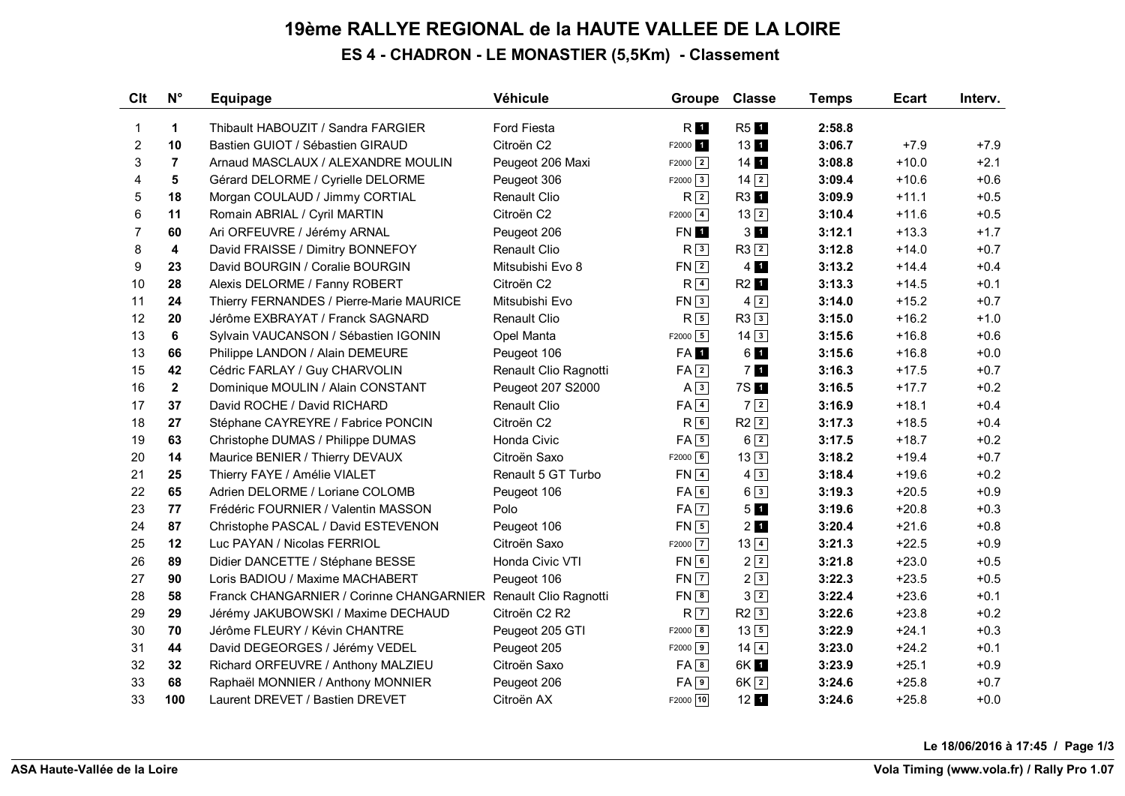## **19ème RALLYE REGIONAL de la HAUTE VALLEE DE LA LOIRE ES 4 - CHADRON - LE MONASTIER (5,5Km) - Classement**

| Clt            | $N^{\circ}$             | <b>Equipage</b>                          | Véhicule              | <b>Groupe</b>       | <b>Classe</b>      | <b>Temps</b> | <b>Ecart</b> | Interv. |
|----------------|-------------------------|------------------------------------------|-----------------------|---------------------|--------------------|--------------|--------------|---------|
| $\mathbf{1}$   | 1                       | Thibault HABOUZIT / Sandra FARGIER       | Ford Fiesta           | RI <sub>1</sub>     | R <sub>5</sub> 1   | 2:58.8       |              |         |
| 2              | 10                      | Bastien GUIOT / Sébastien GIRAUD         | Citroën C2            | F2000 1             | 131                | 3:06.7       | $+7.9$       | $+7.9$  |
| 3              | $\overline{7}$          | Arnaud MASCLAUX / ALEXANDRE MOULIN       | Peugeot 206 Maxi      | $F2000$ 2           | $14$ 1             | 3:08.8       | $+10.0$      | $+2.1$  |
| 4              | 5                       | Gérard DELORME / Cyrielle DELORME        | Peugeot 306           | $F2000 \mid 3 \mid$ | $14\overline{2}$   | 3:09.4       | $+10.6$      | $+0.6$  |
| 5              | 18                      | Morgan COULAUD / Jimmy CORTIAL           | <b>Renault Clio</b>   | R <sup>2</sup>      | R3 1               | 3:09.9       | $+11.1$      | $+0.5$  |
| 6              | 11                      | Romain ABRIAL / Cyril MARTIN             | Citroën C2            | $F2000$ 4           | $13\sqrt{2}$       | 3:10.4       | $+11.6$      | $+0.5$  |
| $\overline{7}$ | 60                      | Ari ORFEUVRE / Jérémy ARNAL              | Peugeot 206           | FN 1                | $3 \blacksquare$   | 3:12.1       | $+13.3$      | $+1.7$  |
| 8              | $\overline{\mathbf{4}}$ | David FRAISSE / Dimitry BONNEFOY         | <b>Renault Clio</b>   | R <sub>3</sub>      | $R3$ <sup>2</sup>  | 3:12.8       | $+14.0$      | $+0.7$  |
| 9              | 23                      | David BOURGIN / Coralie BOURGIN          | Mitsubishi Evo 8      | $FN$ $2$            | $4$ 1              | 3:13.2       | $+14.4$      | $+0.4$  |
| 10             | 28                      | Alexis DELORME / Fanny ROBERT            | Citroën C2            | R <sup>4</sup>      | R2 1               | 3:13.3       | $+14.5$      | $+0.1$  |
| 11             | 24                      | Thierry FERNANDES / Pierre-Marie MAURICE | Mitsubishi Evo        | FN3                 | $4\sqrt{2}$        | 3:14.0       | $+15.2$      | $+0.7$  |
| 12             | 20                      | Jérôme EXBRAYAT / Franck SAGNARD         | <b>Renault Clio</b>   | $R\sqrt{5}$         | R33                | 3:15.0       | $+16.2$      | $+1.0$  |
| 13             | 6                       | Sylvain VAUCANSON / Sébastien IGONIN     | Opel Manta            | $F2000$ 5           | $14\overline{3}$   | 3:15.6       | $+16.8$      | $+0.6$  |
| 13             | 66                      | Philippe LANDON / Alain DEMEURE          | Peugeot 106           | FA 1                | 61                 | 3:15.6       | $+16.8$      | $+0.0$  |
| 15             | 42                      | Cédric FARLAY / Guy CHARVOLIN            | Renault Clio Ragnotti | $FA$ $2$            | 7 <sub>1</sub>     | 3:16.3       | $+17.5$      | $+0.7$  |
| 16             | $\mathbf{2}$            | Dominique MOULIN / Alain CONSTANT        | Peugeot 207 S2000     | $A \overline{3}$    | 7S 1               | 3:16.5       | $+17.7$      | $+0.2$  |
| 17             | 37                      | David ROCHE / David RICHARD              | Renault Clio          | $FA$ $4$            | 7 2                | 3:16.9       | $+18.1$      | $+0.4$  |
| 18             | 27                      | Stéphane CAYREYRE / Fabrice PONCIN       | Citroën C2            | R6                  | $R2$ <sup>2</sup>  | 3:17.3       | $+18.5$      | $+0.4$  |
| 19             | 63                      | Christophe DUMAS / Philippe DUMAS        | Honda Civic           | $FA \overline{5}$   | $6\sqrt{2}$        | 3:17.5       | $+18.7$      | $+0.2$  |
| 20             | 14                      | Maurice BENIER / Thierry DEVAUX          | Citroën Saxo          | $F2000$ 6           | $13\overline{3}$   | 3:18.2       | $+19.4$      | $+0.7$  |
| 21             | 25                      | Thierry FAYE / Amélie VIALET             | Renault 5 GT Turbo    | $FN$ <sup>4</sup>   | $4\sqrt{3}$        | 3:18.4       | $+19.6$      | $+0.2$  |
| 22             | 65                      | Adrien DELORME / Loriane COLOMB          | Peugeot 106           | FA6                 | $6\overline{3}$    | 3:19.3       | $+20.5$      | $+0.9$  |
| 23             | 77                      | Frédéric FOURNIER / Valentin MASSON      | Polo                  | $FA$ $7$            | 5 <sub>1</sub>     | 3:19.6       | $+20.8$      | $+0.3$  |
| 24             | 87                      | Christophe PASCAL / David ESTEVENON      | Peugeot 106           | $FN$ 5              | $2$ $\blacksquare$ | 3:20.4       | $+21.6$      | $+0.8$  |
| 25             | 12                      | Luc PAYAN / Nicolas FERRIOL              | Citroën Saxo          | $F2000$ $\boxed{7}$ | $13\overline{4}$   | 3:21.3       | $+22.5$      | $+0.9$  |
| 26             | 89                      | Didier DANCETTE / Stéphane BESSE         | Honda Civic VTI       | FN <sub>6</sub>     | $2\sqrt{2}$        | 3:21.8       | $+23.0$      | $+0.5$  |
| 27             | 90                      | Loris BADIOU / Maxime MACHABERT          | Peugeot 106           | $FN$ $7$            | 2 3                | 3:22.3       | $+23.5$      | $+0.5$  |
| 28             | 58                      | Franck CHANGARNIER / Corinne CHANGARNIER | Renault Clio Ragnotti | $FN$ 8              | $3\sqrt{2}$        | 3:22.4       | $+23.6$      | $+0.1$  |
| 29             | 29                      | Jérémy JAKUBOWSKI / Maxime DECHAUD       | Citroën C2 R2         | $R$ $\overline{7}$  | $R2$ <sup>3</sup>  | 3:22.6       | $+23.8$      | $+0.2$  |
| 30             | 70                      | Jérôme FLEURY / Kévin CHANTRE            | Peugeot 205 GTI       | $F2000$ 8           | $13\boxed{5}$      | 3:22.9       | $+24.1$      | $+0.3$  |
| 31             | 44                      | David DEGEORGES / Jérémy VEDEL           | Peugeot 205           | $F2000$ 9           | $14$ $4$           | 3:23.0       | $+24.2$      | $+0.1$  |
| 32             | 32                      | Richard ORFEUVRE / Anthony MALZIEU       | Citroën Saxo          | FA8                 | 6K 1               | 3:23.9       | $+25.1$      | $+0.9$  |
| 33             | 68                      | Raphaël MONNIER / Anthony MONNIER        | Peugeot 206           | $FA$ <sup>9</sup>   | 6K <sub>2</sub>    | 3:24.6       | $+25.8$      | $+0.7$  |
| 33             | 100                     | Laurent DREVET / Bastien DREVET          | Citroën AX            | F2000 10            | $12 \text{ h}$     | 3:24.6       | $+25.8$      | $+0.0$  |

**Le 18/06/2016 à 17:45 / Page 1/3**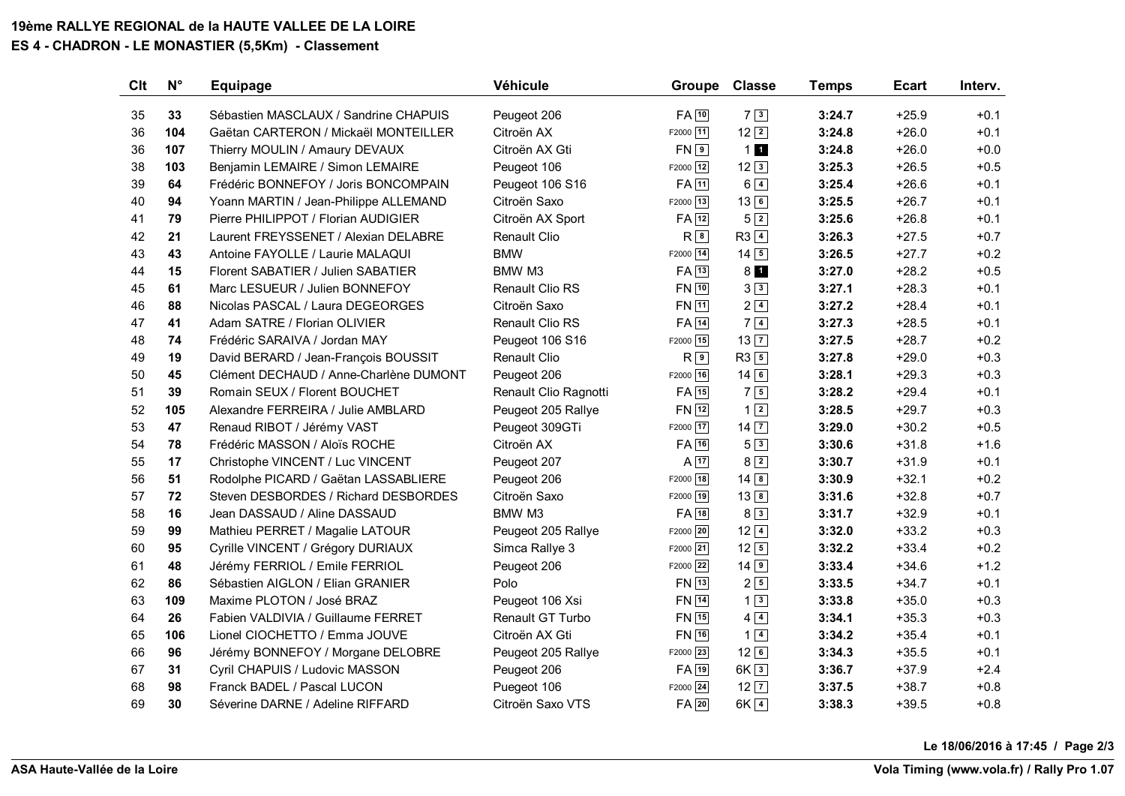## **19ème RALLYE REGIONAL de la HAUTE VALLEE DE LA LOIRE ES 4 - CHADRON - LE MONASTIER (5,5Km) - Classement**

| Clt | $N^{\circ}$ | <b>Equipage</b>                        | Véhicule                | <b>Groupe</b>      | <b>Classe</b>     | <b>Temps</b> | <b>Ecart</b> | Interv. |
|-----|-------------|----------------------------------------|-------------------------|--------------------|-------------------|--------------|--------------|---------|
| 35  | 33          | Sébastien MASCLAUX / Sandrine CHAPUIS  | Peugeot 206             | $FA$ <sup>10</sup> | 7 3               | 3:24.7       | $+25.9$      | $+0.1$  |
| 36  | 104         | Gaëtan CARTERON / Mickaël MONTEILLER   | Citroën AX              | F2000 11           | $12\sqrt{2}$      | 3:24.8       | $+26.0$      | $+0.1$  |
| 36  | 107         | Thierry MOULIN / Amaury DEVAUX         | Citroën AX Gti          | $FN$ <sup>9</sup>  | 11                | 3:24.8       | $+26.0$      | $+0.0$  |
| 38  | 103         | Benjamin LEMAIRE / Simon LEMAIRE       | Peugeot 106             | F2000 12           | $12\sqrt{3}$      | 3:25.3       | $+26.5$      | $+0.5$  |
| 39  | 64          | Frédéric BONNEFOY / Joris BONCOMPAIN   | Peugeot 106 S16         | $FA$ <sup>11</sup> | $6\sqrt{4}$       | 3:25.4       | $+26.6$      | $+0.1$  |
| 40  | 94          | Yoann MARTIN / Jean-Philippe ALLEMAND  | Citroën Saxo            | F2000 13           | $13\sqrt{6}$      | 3:25.5       | $+26.7$      | $+0.1$  |
| 41  | 79          | Pierre PHILIPPOT / Florian AUDIGIER    | Citroën AX Sport        | $FA$ <sup>12</sup> | $5\sqrt{2}$       | 3:25.6       | $+26.8$      | $+0.1$  |
| 42  | 21          | Laurent FREYSSENET / Alexian DELABRE   | <b>Renault Clio</b>     | $R^{8}$            | $R3$ <sup>4</sup> | 3:26.3       | $+27.5$      | $+0.7$  |
| 43  | 43          | Antoine FAYOLLE / Laurie MALAQUI       | <b>BMW</b>              | F2000 14           | $14\overline{5}$  | 3:26.5       | $+27.7$      | $+0.2$  |
| 44  | 15          | Florent SABATIER / Julien SABATIER     | BMW M3                  | $FA$ <sup>13</sup> | 8 <sub>1</sub>    | 3:27.0       | $+28.2$      | $+0.5$  |
| 45  | 61          | Marc LESUEUR / Julien BONNEFOY         | Renault Clio RS         | FN 10              | $3\sqrt{3}$       | 3:27.1       | $+28.3$      | $+0.1$  |
| 46  | 88          | Nicolas PASCAL / Laura DEGEORGES       | Citroën Saxo            | FN 11              | $2\sqrt{4}$       | 3:27.2       | $+28.4$      | $+0.1$  |
| 47  | 41          | Adam SATRE / Florian OLIVIER           | <b>Renault Clio RS</b>  | FA 14              | 7 4               | 3:27.3       | $+28.5$      | $+0.1$  |
| 48  | 74          | Frédéric SARAIVA / Jordan MAY          | Peugeot 106 S16         | F2000 15           | $13\overline{7}$  | 3:27.5       | $+28.7$      | $+0.2$  |
| 49  | 19          | David BERARD / Jean-François BOUSSIT   | <b>Renault Clio</b>     | $R^{9}$            | $R3\vert 5$       | 3:27.8       | $+29.0$      | $+0.3$  |
| 50  | 45          | Clément DECHAUD / Anne-Charlène DUMONT | Peugeot 206             | F2000 16           | $14\sqrt{6}$      | 3:28.1       | $+29.3$      | $+0.3$  |
| 51  | 39          | Romain SEUX / Florent BOUCHET          | Renault Clio Ragnotti   | $FA$ 15            | $7\sqrt{5}$       | 3:28.2       | $+29.4$      | $+0.1$  |
| 52  | 105         | Alexandre FERREIRA / Julie AMBLARD     | Peugeot 205 Rallye      | $FN$ $12$          | $1\vert 2 \vert$  | 3:28.5       | $+29.7$      | $+0.3$  |
| 53  | 47          | Renaud RIBOT / Jérémy VAST             | Peugeot 309GTi          | F2000 17           | $14\overline{7}$  | 3:29.0       | $+30.2$      | $+0.5$  |
| 54  | 78          | Frédéric MASSON / Aloïs ROCHE          | Citroën AX              | $FA$ 16            | 5 3               | 3:30.6       | $+31.8$      | $+1.6$  |
| 55  | 17          | Christophe VINCENT / Luc VINCENT       | Peugeot 207             | $A$ 17             | $8\sqrt{2}$       | 3:30.7       | $+31.9$      | $+0.1$  |
| 56  | 51          | Rodolphe PICARD / Gaëtan LASSABLIERE   | Peugeot 206             | F2000 18           | $14\sqrt{8}$      | 3:30.9       | $+32.1$      | $+0.2$  |
| 57  | 72          | Steven DESBORDES / Richard DESBORDES   | Citroën Saxo            | F2000 19           | 13 8              | 3:31.6       | $+32.8$      | $+0.7$  |
| 58  | 16          | Jean DASSAUD / Aline DASSAUD           | BMW M3                  | $FA$ <sup>18</sup> | $8\sqrt{3}$       | 3:31.7       | $+32.9$      | $+0.1$  |
| 59  | 99          | Mathieu PERRET / Magalie LATOUR        | Peugeot 205 Rallye      | F2000 20           | $12\sqrt{4}$      | 3:32.0       | $+33.2$      | $+0.3$  |
| 60  | 95          | Cyrille VINCENT / Grégory DURIAUX      | Simca Rallye 3          | F2000 21           | $12\sqrt{5}$      | 3:32.2       | $+33.4$      | $+0.2$  |
| 61  | 48          | Jérémy FERRIOL / Emile FERRIOL         | Peugeot 206             | F2000 22           | $14$ 9            | 3:33.4       | $+34.6$      | $+1.2$  |
| 62  | 86          | Sébastien AIGLON / Elian GRANIER       | Polo                    | FN 13              | $2\sqrt{5}$       | 3:33.5       | $+34.7$      | $+0.1$  |
| 63  | 109         | Maxime PLOTON / José BRAZ              | Peugeot 106 Xsi         | <b>FN</b> 14       | $1\sqrt{3}$       | 3:33.8       | $+35.0$      | $+0.3$  |
| 64  | 26          | Fabien VALDIVIA / Guillaume FERRET     | <b>Renault GT Turbo</b> | $FN$ 15            | $4\sqrt{4}$       | 3:34.1       | $+35.3$      | $+0.3$  |
| 65  | 106         | Lionel CIOCHETTO / Emma JOUVE          | Citroën AX Gti          | FN 16              | $1\sqrt{4}$       | 3:34.2       | $+35.4$      | $+0.1$  |
| 66  | 96          | Jérémy BONNEFOY / Morgane DELOBRE      | Peugeot 205 Rallye      | F2000 23           | $12$ 6            | 3:34.3       | $+35.5$      | $+0.1$  |
| 67  | 31          | Cyril CHAPUIS / Ludovic MASSON         | Peugeot 206             | $FA$ 19            | $6K\sqrt{3}$      | 3:36.7       | $+37.9$      | $+2.4$  |
| 68  | 98          | Franck BADEL / Pascal LUCON            | Puegeot 106             | F2000 24           | $12\sqrt{7}$      | 3:37.5       | $+38.7$      | $+0.8$  |
| 69  | 30          | Séverine DARNE / Adeline RIFFARD       | Citroën Saxo VTS        | $FA$ 20            | $6K\sqrt{4}$      | 3:38.3       | $+39.5$      | $+0.8$  |

**Le 18/06/2016 à 17:45 / Page 2/3**